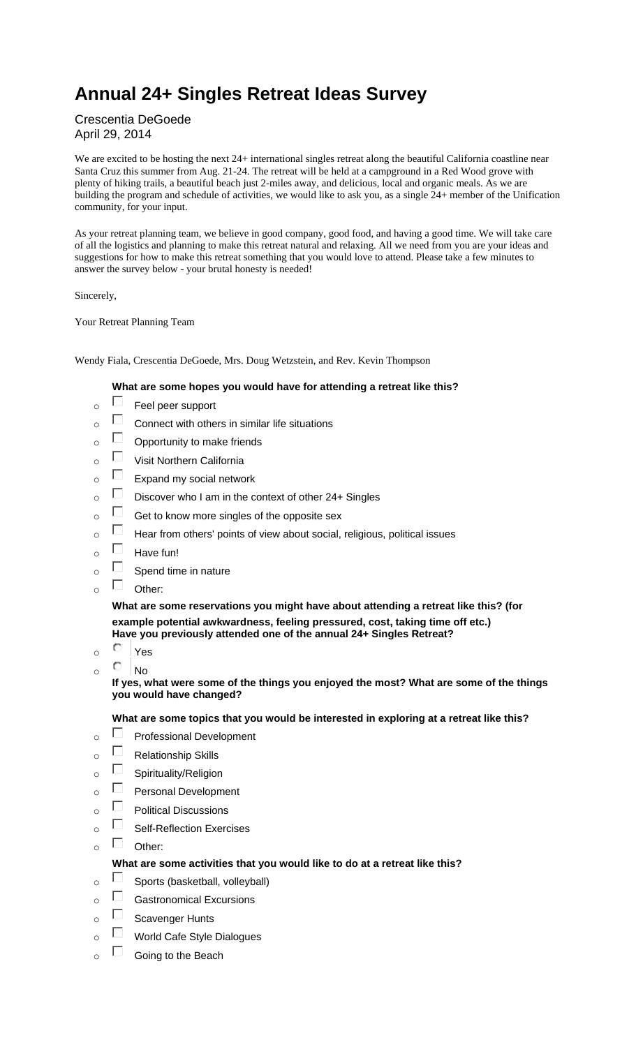# **Annual 24+ Singles Retreat Ideas Survey**

Crescentia DeGoede April 29, 2014

We are excited to be hosting the next 24+ international singles retreat along the beautiful California coastline near Santa Cruz this summer from Aug. 21-24. The retreat will be held at a campground in a Red Wood grove with plenty of hiking trails, a beautiful beach just 2-miles away, and delicious, local and organic meals. As we are building the program and schedule of activities, we would like to ask you, as a single 24+ member of the Unification community, for your input.

As your retreat planning team, we believe in good company, good food, and having a good time. We will take care of all the logistics and planning to make this retreat natural and relaxing. All we need from you are your ideas and suggestions for how to make this retreat something that you would love to attend. Please take a few minutes to answer the survey below - your brutal honesty is needed!

Sincerely,

Your Retreat Planning Team

Wendy Fiala, Crescentia DeGoede, Mrs. Doug Wetzstein, and Rev. Kevin Thompson

#### **What are some hopes you would have for attending a retreat like this?**

- $\overline{\circ}$   $\Box$  Feel peer support
- $\overline{\circ}$   $\Box$  Connect with others in similar life situations
- $\overline{\circ}$   $\Box$  Opportunity to make friends
- $\overline{\circ}$  Visit Northern California
- $\overline{\circ}$  Expand my social network
- $\overline{\circ}$  Discover who I am in the context of other 24+ Singles
- $\overline{\circ}$  Get to know more singles of the opposite sex
- $\overline{\circ}$  Hear from others' points of view about social, religious, political issues
- $\overline{\circ}$  Have fun!
- $\overline{\circ}$   $\Box$  Spend time in nature
- $\Box$  Other:

**What are some reservations you might have about attending a retreat like this? (for example potential awkwardness, feeling pressured, cost, taking time off etc.) Have you previously attended one of the annual 24+ Singles Retreat?** 

- o Yes
- $\circ$  No

**If yes, what were some of the things you enjoyed the most? What are some of the things you would have changed?** 

#### **What are some topics that you would be interested in exploring at a retreat like this?**

- $\overline{\circ}$  Professional Development
- $\overline{\circ}$  Relationship Skills
- $\overline{\circ}$  Spirituality/Religion
- $\overline{\circ}$  Personal Development
- $\overline{\circ}$  Political Discussions
- $\overline{\circ}$  Self-Reflection Exercises
- $\circ$   $\Box$  Other:

#### **What are some activities that you would like to do at a retreat like this?**

- $\circ$   $\Box$  Sports (basketball, volleyball)
- $\overline{\circ}$  Gastronomical Excursions
- $\overline{\circ}$   $\Box$  Scavenger Hunts
- o **U** World Cafe Style Dialogues
- $\overline{\circ}$   $\Box$  Going to the Beach